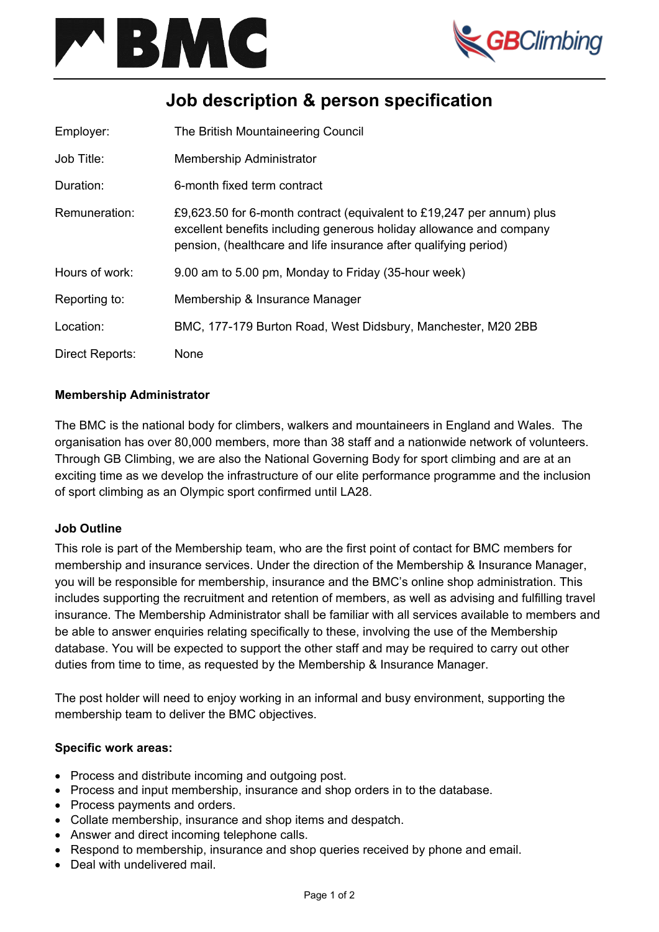



# **Job description & person specification**

| Employer:       | The British Mountaineering Council                                                                                                                                                                               |
|-----------------|------------------------------------------------------------------------------------------------------------------------------------------------------------------------------------------------------------------|
| Job Title:      | Membership Administrator                                                                                                                                                                                         |
| Duration:       | 6-month fixed term contract                                                                                                                                                                                      |
| Remuneration:   | £9,623.50 for 6-month contract (equivalent to £19,247 per annum) plus<br>excellent benefits including generous holiday allowance and company<br>pension, (healthcare and life insurance after qualifying period) |
| Hours of work:  | 9.00 am to 5.00 pm, Monday to Friday (35-hour week)                                                                                                                                                              |
| Reporting to:   | Membership & Insurance Manager                                                                                                                                                                                   |
| Location:       | BMC, 177-179 Burton Road, West Didsbury, Manchester, M20 2BB                                                                                                                                                     |
| Direct Reports: | None                                                                                                                                                                                                             |

## **Membership Administrator**

The BMC is the national body for climbers, walkers and mountaineers in England and Wales. The organisation has over 80,000 members, more than 38 staff and a nationwide network of volunteers. Through GB Climbing, we are also the National Governing Body for sport climbing and are at an exciting time as we develop the infrastructure of our elite performance programme and the inclusion of sport climbing as an Olympic sport confirmed until LA28.

### **Job Outline**

This role is part of the Membership team, who are the first point of contact for BMC members for membership and insurance services. Under the direction of the Membership & Insurance Manager, you will be responsible for membership, insurance and the BMC's online shop administration. This includes supporting the recruitment and retention of members, as well as advising and fulfilling travel insurance. The Membership Administrator shall be familiar with all services available to members and be able to answer enquiries relating specifically to these, involving the use of the Membership database. You will be expected to support the other staff and may be required to carry out other duties from time to time, as requested by the Membership & Insurance Manager.

The post holder will need to enjoy working in an informal and busy environment, supporting the membership team to deliver the BMC objectives.

### **Specific work areas:**

- Process and distribute incoming and outgoing post.
- Process and input membership, insurance and shop orders in to the database.
- Process payments and orders.
- Collate membership, insurance and shop items and despatch.
- Answer and direct incoming telephone calls.
- Respond to membership, insurance and shop queries received by phone and email.
- Deal with undelivered mail.